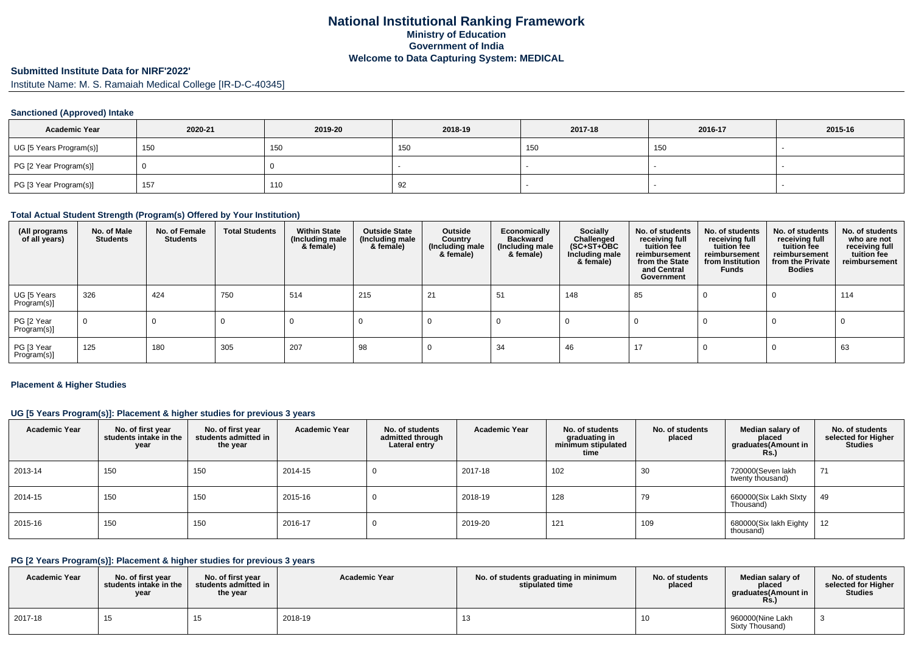### **National Institutional Ranking FrameworkMinistry of Education Government of IndiaWelcome to Data Capturing System: MEDICAL**

# **Submitted Institute Data for NIRF'2022'**

Institute Name: M. S. Ramaiah Medical College [IR-D-C-40345]

#### **Sanctioned (Approved) Intake**

| <b>Academic Year</b>    | 2020-21 | 2019-20 | 2018-19 | 2017-18 | 2016-17 | 2015-16 |
|-------------------------|---------|---------|---------|---------|---------|---------|
| UG [5 Years Program(s)] | 150     | 150     | 150     | 150     | 150     |         |
| PG [2 Year Program(s)]  |         |         |         |         |         |         |
| PG [3 Year Program(s)]  | 157     | 110     | 92      |         |         |         |

#### **Total Actual Student Strength (Program(s) Offered by Your Institution)**

| (All programs<br>of all years) | No. of Male<br><b>Students</b> | No. of Female<br><b>Students</b> | <b>Total Students</b> | <b>Within State</b><br>(Including male<br>& female) | <b>Outside State</b><br>(Including male<br>& female) | Outside<br>Country<br>(Including male<br>& female) | Economically<br><b>Backward</b><br>(Including male<br>& female) | Socially<br>Challenged<br>$(SC+ST+\text{O}BC)$<br>Including male<br>& female) | No. of students<br>receiving full<br>tuition fee<br>reimbursement<br>from the State<br>and Central<br>Government | No. of students<br>receiving full<br>tuition fee<br>reimbursement<br>from Institution<br><b>Funds</b> | No. of students<br>receiving full<br>tuition fee<br>reimbursement<br>from the Private<br><b>Bodies</b> | No. of students<br>who are not<br>receiving full<br>tuition fee<br>reimbursement |
|--------------------------------|--------------------------------|----------------------------------|-----------------------|-----------------------------------------------------|------------------------------------------------------|----------------------------------------------------|-----------------------------------------------------------------|-------------------------------------------------------------------------------|------------------------------------------------------------------------------------------------------------------|-------------------------------------------------------------------------------------------------------|--------------------------------------------------------------------------------------------------------|----------------------------------------------------------------------------------|
| UG [5 Years<br>Program(s)]     | 326                            | 424                              | 750                   | 514                                                 | 215                                                  | 21                                                 | 51                                                              | 148                                                                           | 85                                                                                                               |                                                                                                       |                                                                                                        | 114                                                                              |
| PG [2 Year<br>Program(s)]      | $\mathbf 0$                    | 0                                |                       |                                                     |                                                      |                                                    |                                                                 |                                                                               |                                                                                                                  |                                                                                                       |                                                                                                        |                                                                                  |
| PG [3 Year<br>Program(s)]      | 125                            | 180                              | 305                   | 207                                                 | 98                                                   |                                                    | 34                                                              | 46                                                                            | 17                                                                                                               |                                                                                                       |                                                                                                        | 63                                                                               |

#### **Placement & Higher Studies**

### **UG [5 Years Program(s)]: Placement & higher studies for previous 3 years**

| <b>Academic Year</b> | No. of first year<br>students intake in the<br>year | No. of first year<br>students admitted in<br>the year | <b>Academic Year</b> | No. of students<br>admitted through<br>Lateral entry | <b>Academic Year</b> | No. of students<br>graduating in<br>minimum stipulated<br>time | No. of students<br>placed | Median salary of<br>placed<br>graduates(Amount in<br><b>Rs.)</b> | No. of students<br>selected for Higher<br><b>Studies</b> |
|----------------------|-----------------------------------------------------|-------------------------------------------------------|----------------------|------------------------------------------------------|----------------------|----------------------------------------------------------------|---------------------------|------------------------------------------------------------------|----------------------------------------------------------|
| 2013-14              | 150                                                 | 150                                                   | 2014-15              |                                                      | 2017-18              | 102                                                            | 30                        | 720000(Seven lakh<br>twenty thousand)                            | 71                                                       |
| 2014-15              | 150                                                 | 150                                                   | 2015-16              |                                                      | 2018-19              | 128                                                            | 79                        | 660000(Six Lakh Slxty<br>Thousand)                               | 49                                                       |
| 2015-16              | 150                                                 | 150                                                   | 2016-17              |                                                      | 2019-20              | 121                                                            | 109                       | 680000(Six lakh Eighty<br>thousand)                              | 12                                                       |

# **PG [2 Years Program(s)]: Placement & higher studies for previous 3 years**

| <b>Academic Year</b> | No. of first year<br>students intake in the<br>year | No. of first vear<br>students admitted in<br>the year | <b>Academic Year</b> | No. of students graduating in minimum<br>stipulated time | No. of students<br>placed | Median salary of<br>placed<br>araduates(Amount in<br>Rs. | No. of students<br>selected for Higher<br><b>Studies</b> |
|----------------------|-----------------------------------------------------|-------------------------------------------------------|----------------------|----------------------------------------------------------|---------------------------|----------------------------------------------------------|----------------------------------------------------------|
| 2017-18              | כ ו                                                 |                                                       | 2018-19              | 13                                                       | 10                        | 960000(Nine Lakh<br>Sixty Thousand)                      |                                                          |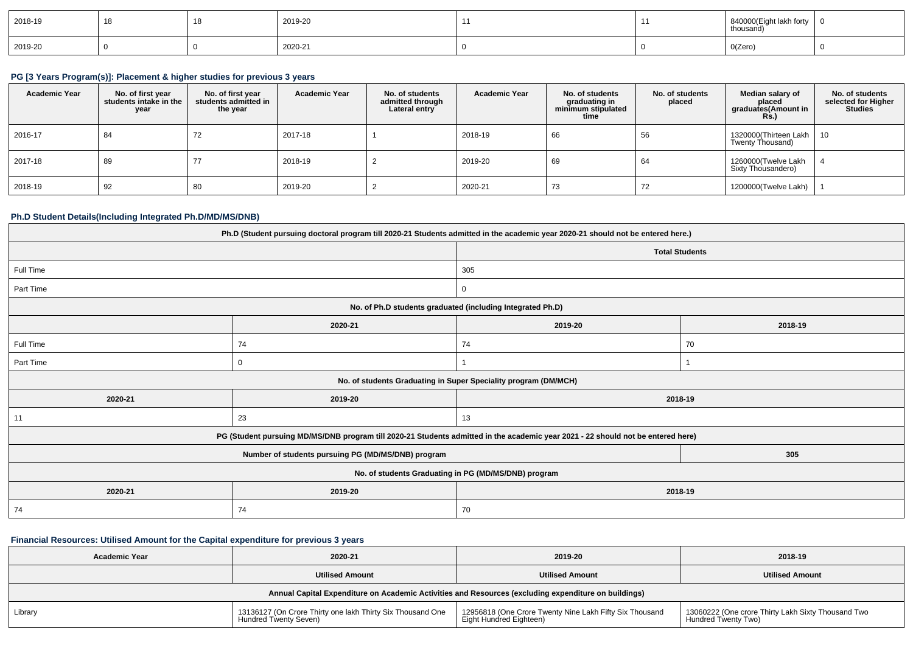| 2018-19 | 18 | 2019-20 |  | 840000(Eight lakh forty<br>thousand) | . О |
|---------|----|---------|--|--------------------------------------|-----|
| 2019-20 |    | 2020-21 |  | O(Zero)                              |     |

#### **PG [3 Years Program(s)]: Placement & higher studies for previous 3 years**

| <b>Academic Year</b> | No. of first year<br>students intake in the<br>year | No. of first vear<br>students admitted in<br>the year | <b>Academic Year</b> | No. of students<br>admitted through<br>Lateral entry | <b>Academic Year</b> | No. of students<br>graduating in<br>minimum stipulated<br>time | No. of students<br>placed | Median salary of<br>placed<br>graduates(Amount in<br><b>Rs.</b> ) | No. of students<br>selected for Higher<br><b>Studies</b> |
|----------------------|-----------------------------------------------------|-------------------------------------------------------|----------------------|------------------------------------------------------|----------------------|----------------------------------------------------------------|---------------------------|-------------------------------------------------------------------|----------------------------------------------------------|
| 2016-17              | 84                                                  | 72                                                    | 2017-18              |                                                      | 2018-19              | 66                                                             | 56                        | 1320000 (Thirteen Lakh   10<br>Twenty Thousand)                   |                                                          |
| 2017-18              | 89                                                  |                                                       | 2018-19              |                                                      | 2019-20              | 69                                                             | 64                        | 1260000(Twelve Lakh<br>Sixty Thousandero)                         |                                                          |
| 2018-19              | 92                                                  | 80                                                    | 2019-20              |                                                      | 2020-21              | 73                                                             | 72                        | 1200000(Twelve Lakh)                                              |                                                          |

#### **Ph.D Student Details(Including Integrated Ph.D/MD/MS/DNB)**

| Ph.D (Student pursuing doctoral program till 2020-21 Students admitted in the academic year 2020-21 should not be entered here.) |                                                                                                                                  |                                                                 |         |  |  |  |
|----------------------------------------------------------------------------------------------------------------------------------|----------------------------------------------------------------------------------------------------------------------------------|-----------------------------------------------------------------|---------|--|--|--|
|                                                                                                                                  |                                                                                                                                  | <b>Total Students</b>                                           |         |  |  |  |
| Full Time                                                                                                                        |                                                                                                                                  | 305                                                             |         |  |  |  |
| Part Time                                                                                                                        |                                                                                                                                  | $\overline{0}$                                                  |         |  |  |  |
|                                                                                                                                  |                                                                                                                                  | No. of Ph.D students graduated (including Integrated Ph.D)      |         |  |  |  |
|                                                                                                                                  | 2020-21                                                                                                                          | 2019-20                                                         | 2018-19 |  |  |  |
| Full Time                                                                                                                        | 74                                                                                                                               | 74                                                              | 70      |  |  |  |
| Part Time                                                                                                                        | 0                                                                                                                                |                                                                 |         |  |  |  |
|                                                                                                                                  |                                                                                                                                  | No. of students Graduating in Super Speciality program (DM/MCH) |         |  |  |  |
| 2020-21                                                                                                                          | 2019-20                                                                                                                          | 2018-19                                                         |         |  |  |  |
| 11                                                                                                                               | 23                                                                                                                               | 13                                                              |         |  |  |  |
|                                                                                                                                  | PG (Student pursuing MD/MS/DNB program till 2020-21 Students admitted in the academic year 2021 - 22 should not be entered here) |                                                                 |         |  |  |  |
|                                                                                                                                  | Number of students pursuing PG (MD/MS/DNB) program                                                                               |                                                                 | 305     |  |  |  |
| No. of students Graduating in PG (MD/MS/DNB) program                                                                             |                                                                                                                                  |                                                                 |         |  |  |  |
| 2020-21                                                                                                                          | 2018-19<br>2019-20                                                                                                               |                                                                 |         |  |  |  |
| 74                                                                                                                               | 74                                                                                                                               | 70                                                              |         |  |  |  |

# **Financial Resources: Utilised Amount for the Capital expenditure for previous 3 years**

| <b>Academic Year</b>                                                                                 | 2020-21                                                                             | 2019-20                                                                            | 2018-19                                                                   |  |  |  |
|------------------------------------------------------------------------------------------------------|-------------------------------------------------------------------------------------|------------------------------------------------------------------------------------|---------------------------------------------------------------------------|--|--|--|
|                                                                                                      | <b>Utilised Amount</b>                                                              |                                                                                    | <b>Utilised Amount</b>                                                    |  |  |  |
| Annual Capital Expenditure on Academic Activities and Resources (excluding expenditure on buildings) |                                                                                     |                                                                                    |                                                                           |  |  |  |
| Library                                                                                              | 13136127 (On Crore Thirty one lakh Thirty Six Thousand One<br>Hundred Twenty Seven) | 12956818 (One Crore Twenty Nine Lakh Fifty Six Thousand<br>Eight Hundred Eighteen) | 13060222 (One crore Thirty Lakh Sixty Thousand Two<br>Hundred Twenty Two) |  |  |  |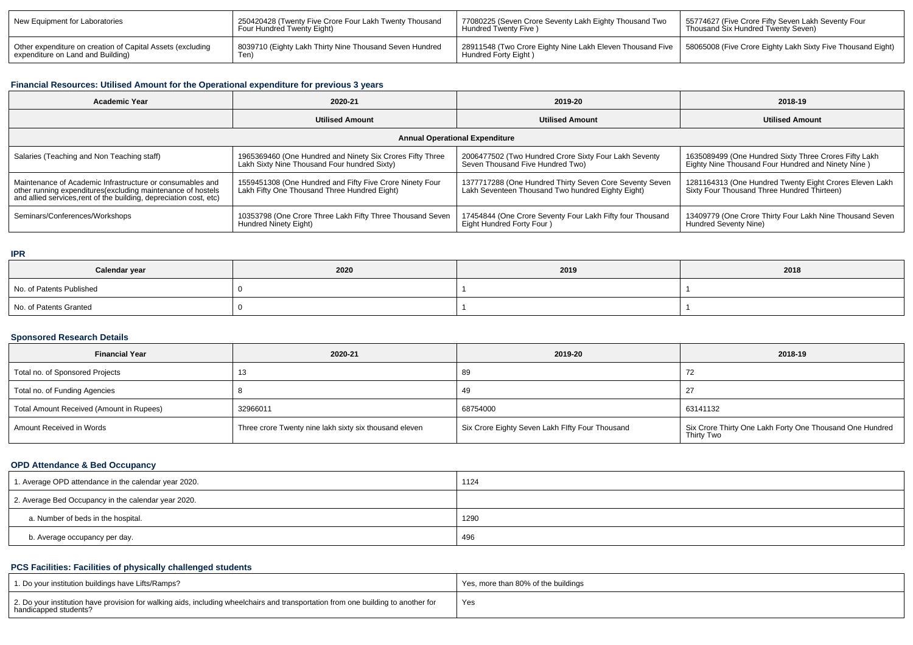| New Equipment for Laboratories                                                                  | 250420428 (Twenty Five Crore Four Lakh Twenty Thousand<br>Four Hundred Twenty Eight) | 77080225 (Seven Crore Seventy Lakh Eighty Thousand Two<br>Hundred Twenty Five )                                                                   | 55774627 (Five Crore Fifty Seven Lakh Seventy Four<br>Thousand Six Hundred Twenty Seven) |
|-------------------------------------------------------------------------------------------------|--------------------------------------------------------------------------------------|---------------------------------------------------------------------------------------------------------------------------------------------------|------------------------------------------------------------------------------------------|
| Other expenditure on creation of Capital Assets (excluding<br>expenditure on Land and Building) | 8039710 (Eighty Lakh Thirty Nine Thousand Seven Hundred<br>Ten)                      | 1 28911548 (Two Crore Eighty Nine Lakh Eleven Thousand Five   58065008 (Five Crore Eighty Lakh Sixty Five Thousand Eight)<br>Hundred Forty Eight) |                                                                                          |

# **Financial Resources: Utilised Amount for the Operational expenditure for previous 3 years**

| <b>Academic Year</b><br>2020-21                                                                                                                                                                |                                                                                                           | 2019-20                                                                                                      | 2018-19                                                                                                     |  |  |  |  |  |
|------------------------------------------------------------------------------------------------------------------------------------------------------------------------------------------------|-----------------------------------------------------------------------------------------------------------|--------------------------------------------------------------------------------------------------------------|-------------------------------------------------------------------------------------------------------------|--|--|--|--|--|
|                                                                                                                                                                                                | <b>Utilised Amount</b>                                                                                    | <b>Utilised Amount</b>                                                                                       | <b>Utilised Amount</b>                                                                                      |  |  |  |  |  |
| <b>Annual Operational Expenditure</b>                                                                                                                                                          |                                                                                                           |                                                                                                              |                                                                                                             |  |  |  |  |  |
| Salaries (Teaching and Non Teaching staff)                                                                                                                                                     | 1965369460 (One Hundred and Ninety Six Crores Fifty Three<br>Lakh Sixty Nine Thousand Four hundred Sixty) | 2006477502 (Two Hundred Crore Sixty Four Lakh Seventy<br>Seven Thousand Five Hundred Two)                    | 1635089499 (One Hundred Sixty Three Crores Fifty Lakh<br>Eighty Nine Thousand Four Hundred and Ninety Nine) |  |  |  |  |  |
| Maintenance of Academic Infrastructure or consumables and<br>other running expenditures(excluding maintenance of hostels<br>and allied services, rent of the building, depreciation cost, etc) | 1559451308 (One Hundred and Fifty Five Crore Ninety Four<br>Lakh Fifty One Thousand Three Hundred Eight)  | 1377717288 (One Hundred Thirty Seven Core Seventy Seven<br>Lakh Seventeen Thousand Two hundred Eighty Eight) | 1281164313 (One Hundred Twenty Eight Crores Eleven Lakh<br>Sixty Four Thousand Three Hundred Thirteen)      |  |  |  |  |  |
| Seminars/Conferences/Workshops                                                                                                                                                                 | 10353798 (One Crore Three Lakh Fifty Three Thousand Seven<br>Hundred Ninety Eight)                        | 17454844 (One Crore Seventy Four Lakh Fifty four Thousand<br>Eight Hundred Forty Four )                      | 13409779 (One Crore Thirty Four Lakh Nine Thousand Seven<br>Hundred Seventy Nine)                           |  |  |  |  |  |

#### **IPR**

| Calendar year            | 2020 | 2019 | 2018 |
|--------------------------|------|------|------|
| No. of Patents Published |      |      |      |
| No. of Patents Granted   |      |      |      |

#### **Sponsored Research Details**

| <b>Financial Year</b>                    | 2020-21                                                | 2019-20                                         | 2018-19                                                                |
|------------------------------------------|--------------------------------------------------------|-------------------------------------------------|------------------------------------------------------------------------|
| Total no. of Sponsored Projects          |                                                        | 89                                              | 72                                                                     |
| Total no. of Funding Agencies            |                                                        | 49                                              | -27                                                                    |
| Total Amount Received (Amount in Rupees) | 32966011                                               | 68754000                                        | 63141132                                                               |
| Amount Received in Words                 | Three crore Twenty nine lakh sixty six thousand eleven | Six Crore Eighty Seven Lakh Flfty Four Thousand | Six Crore Thirty One Lakh Forty One Thousand One Hundred<br>Thirty Two |

### **OPD Attendance & Bed Occupancy**

| 1. Average OPD attendance in the calendar year 2020. | 1124 |
|------------------------------------------------------|------|
| 2. Average Bed Occupancy in the calendar year 2020.  |      |
| a. Number of beds in the hospital.                   | 1290 |
| b. Average occupancy per day.                        | 496  |

# **PCS Facilities: Facilities of physically challenged students**

| 1. Do your institution buildings have Lifts/Ramps?                                                                                                         | Yes, more than 80% of the buildings |
|------------------------------------------------------------------------------------------------------------------------------------------------------------|-------------------------------------|
| 2. Do your institution have provision for walking aids, including wheelchairs and transportation from one building to another for<br>handicapped students? | Yes                                 |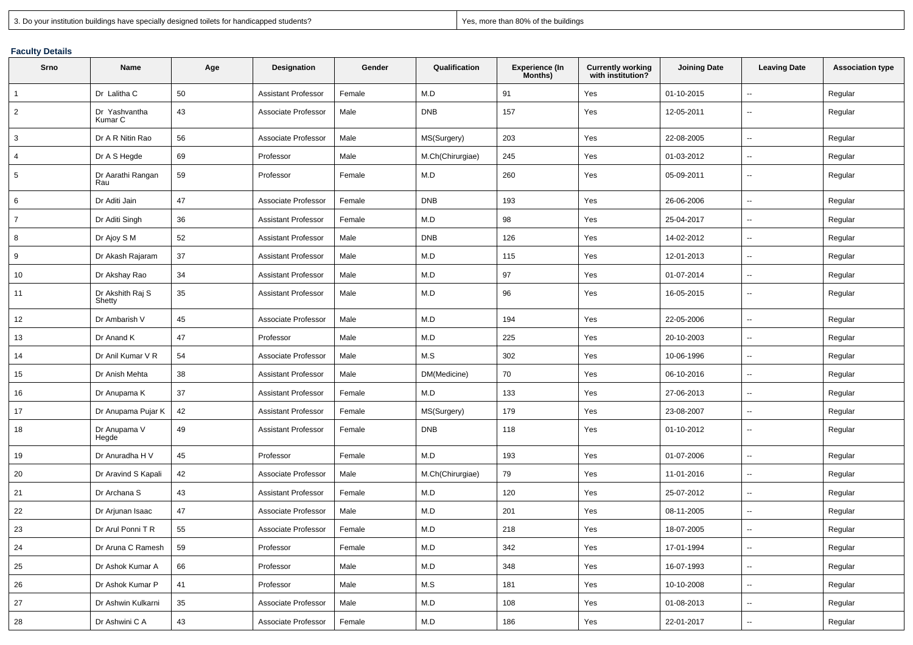| 3. Do your institution buildings have specially designed toilets for handicapped students? |  |
|--------------------------------------------------------------------------------------------|--|
|--------------------------------------------------------------------------------------------|--|

Yes, more than 80% of the buildings

| <b>Faculty Details</b> |  |
|------------------------|--|
|                        |  |

| Srno           | Name                       | Age | Designation                | Gender | Qualification    | <b>Experience (In</b><br>Months) | <b>Currently working</b><br>with institution? | <b>Joining Date</b> | <b>Leaving Date</b>      | <b>Association type</b> |
|----------------|----------------------------|-----|----------------------------|--------|------------------|----------------------------------|-----------------------------------------------|---------------------|--------------------------|-------------------------|
| $\overline{1}$ | Dr Lalitha C               | 50  | <b>Assistant Professor</b> | Female | M.D              | 91                               | Yes                                           | 01-10-2015          | $\sim$                   | Regular                 |
| $\overline{2}$ | Dr Yashvantha<br>Kumar C   | 43  | Associate Professor        | Male   | <b>DNB</b>       | 157                              | Yes                                           | 12-05-2011          | $\overline{\phantom{a}}$ | Regular                 |
| $\mathbf{3}$   | Dr A R Nitin Rao           | 56  | Associate Professor        | Male   | MS(Surgery)      | 203                              | Yes                                           | 22-08-2005          | -−                       | Regular                 |
| $\overline{4}$ | Dr A S Hegde               | 69  | Professor                  | Male   | M.Ch(Chirurgiae) | 245                              | Yes                                           | 01-03-2012          | $\sim$                   | Regular                 |
| 5              | Dr Aarathi Rangan<br>Rau   | 59  | Professor                  | Female | M.D              | 260                              | Yes                                           | 05-09-2011          | $\overline{\phantom{a}}$ | Regular                 |
| 6              | Dr Aditi Jain              | 47  | Associate Professor        | Female | <b>DNB</b>       | 193                              | Yes                                           | 26-06-2006          | $\overline{\phantom{a}}$ | Regular                 |
| $\overline{7}$ | Dr Aditi Singh             | 36  | <b>Assistant Professor</b> | Female | M.D              | 98                               | Yes                                           | 25-04-2017          | $\sim$                   | Regular                 |
| 8              | Dr Ajoy S M                | 52  | <b>Assistant Professor</b> | Male   | <b>DNB</b>       | 126                              | Yes                                           | 14-02-2012          | $\overline{\phantom{a}}$ | Regular                 |
| 9              | Dr Akash Rajaram           | 37  | <b>Assistant Professor</b> | Male   | M.D              | 115                              | Yes                                           | 12-01-2013          | $\sim$                   | Regular                 |
| 10             | Dr Akshay Rao              | 34  | <b>Assistant Professor</b> | Male   | M.D              | 97                               | Yes                                           | 01-07-2014          | $\sim$                   | Regular                 |
| 11             | Dr Akshith Raj S<br>Shetty | 35  | <b>Assistant Professor</b> | Male   | M.D              | 96                               | Yes                                           | 16-05-2015          | $\overline{\phantom{a}}$ | Regular                 |
| 12             | Dr Ambarish V              | 45  | Associate Professor        | Male   | M.D              | 194                              | Yes                                           | 22-05-2006          | $\overline{\phantom{a}}$ | Regular                 |
| 13             | Dr Anand K                 | 47  | Professor                  | Male   | M.D              | 225                              | Yes                                           | 20-10-2003          | --                       | Regular                 |
| 14             | Dr Anil Kumar V R          | 54  | Associate Professor        | Male   | M.S              | 302                              | Yes                                           | 10-06-1996          | $\overline{\phantom{a}}$ | Regular                 |
| 15             | Dr Anish Mehta             | 38  | <b>Assistant Professor</b> | Male   | DM(Medicine)     | 70                               | Yes                                           | 06-10-2016          | $\overline{\phantom{a}}$ | Regular                 |
| 16             | Dr Anupama K               | 37  | <b>Assistant Professor</b> | Female | M.D              | 133                              | Yes                                           | 27-06-2013          | $\overline{\phantom{a}}$ | Regular                 |
| 17             | Dr Anupama Pujar K         | 42  | <b>Assistant Professor</b> | Female | MS(Surgery)      | 179                              | Yes                                           | 23-08-2007          | −−                       | Regular                 |
| 18             | Dr Anupama V<br>Hegde      | 49  | <b>Assistant Professor</b> | Female | <b>DNB</b>       | 118                              | Yes                                           | 01-10-2012          | ⊷.                       | Regular                 |
| 19             | Dr Anuradha H V            | 45  | Professor                  | Female | M.D              | 193                              | Yes                                           | 01-07-2006          | $\sim$                   | Regular                 |
| 20             | Dr Aravind S Kapali        | 42  | Associate Professor        | Male   | M.Ch(Chirurgiae) | 79                               | Yes                                           | 11-01-2016          | --                       | Regular                 |
| 21             | Dr Archana S               | 43  | <b>Assistant Professor</b> | Female | M.D              | 120                              | Yes                                           | 25-07-2012          | ⊷.                       | Regular                 |
| 22             | Dr Arjunan Isaac           | 47  | Associate Professor        | Male   | M.D              | 201                              | Yes                                           | 08-11-2005          | $\overline{\phantom{a}}$ | Regular                 |
| 23             | Dr Arul Ponni T R          | 55  | Associate Professor        | Female | M.D              | 218                              | Yes                                           | 18-07-2005          | $\overline{\phantom{a}}$ | Regular                 |
| 24             | Dr Aruna C Ramesh          | 59  | Professor                  | Female | M.D              | 342                              | Yes                                           | 17-01-1994          | $\sim$                   | Regular                 |
| 25             | Dr Ashok Kumar A           | 66  | Professor                  | Male   | ${\sf M.D}$      | 348                              | Yes                                           | 16-07-1993          | $\sim$                   | Regular                 |
| 26             | Dr Ashok Kumar P           | 41  | Professor                  | Male   | M.S              | 181                              | Yes                                           | 10-10-2008          | $\sim$                   | Regular                 |
| 27             | Dr Ashwin Kulkarni         | 35  | Associate Professor        | Male   | M.D              | 108                              | Yes                                           | 01-08-2013          | $\sim$                   | Regular                 |
| 28             | Dr Ashwini C A             | 43  | Associate Professor        | Female | M.D              | 186                              | Yes                                           | 22-01-2017          | н,                       | Regular                 |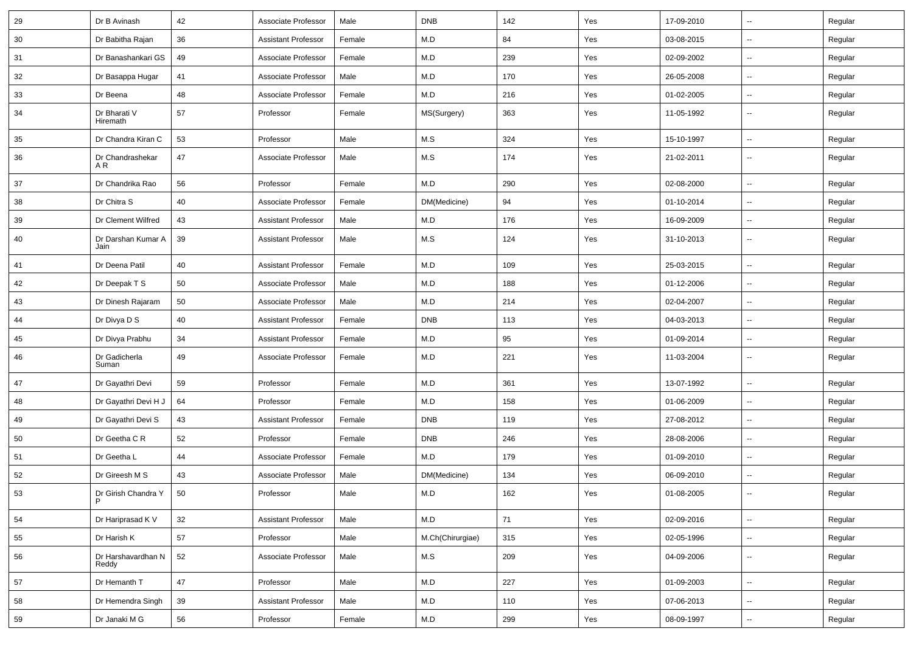| 29 | Dr B Avinash                | 42 | Associate Professor        | Male   | <b>DNB</b>       | 142 | Yes | 17-09-2010 | Ξ.                       | Regular |
|----|-----------------------------|----|----------------------------|--------|------------------|-----|-----|------------|--------------------------|---------|
| 30 | Dr Babitha Rajan            | 36 | <b>Assistant Professor</b> | Female | M.D              | 84  | Yes | 03-08-2015 | $\overline{\phantom{a}}$ | Regular |
| 31 | Dr Banashankari GS          | 49 | Associate Professor        | Female | M.D              | 239 | Yes | 02-09-2002 |                          | Regular |
| 32 | Dr Basappa Hugar            | 41 | Associate Professor        | Male   | M.D              | 170 | Yes | 26-05-2008 | --                       | Regular |
| 33 | Dr Beena                    | 48 | Associate Professor        | Female | M.D              | 216 | Yes | 01-02-2005 | Ξ.                       | Regular |
| 34 | Dr Bharati V<br>Hiremath    | 57 | Professor                  | Female | MS(Surgery)      | 363 | Yes | 11-05-1992 | --                       | Regular |
| 35 | Dr Chandra Kiran C          | 53 | Professor                  | Male   | M.S              | 324 | Yes | 15-10-1997 | $\sim$                   | Regular |
| 36 | Dr Chandrashekar<br>AR.     | 47 | Associate Professor        | Male   | M.S              | 174 | Yes | 21-02-2011 | $\sim$                   | Regular |
| 37 | Dr Chandrika Rao            | 56 | Professor                  | Female | M.D              | 290 | Yes | 02-08-2000 | $\ddot{\phantom{a}}$     | Regular |
| 38 | Dr Chitra S                 | 40 | Associate Professor        | Female | DM(Medicine)     | 94  | Yes | 01-10-2014 | $\overline{\phantom{a}}$ | Regular |
| 39 | Dr Clement Wilfred          | 43 | <b>Assistant Professor</b> | Male   | M.D              | 176 | Yes | 16-09-2009 | Ξ.                       | Regular |
| 40 | Dr Darshan Kumar A<br>Jain  | 39 | <b>Assistant Professor</b> | Male   | M.S              | 124 | Yes | 31-10-2013 | $\sim$                   | Regular |
| 41 | Dr Deena Patil              | 40 | <b>Assistant Professor</b> | Female | M.D              | 109 | Yes | 25-03-2015 |                          | Regular |
| 42 | Dr Deepak T S               | 50 | Associate Professor        | Male   | M.D              | 188 | Yes | 01-12-2006 | $\overline{\phantom{a}}$ | Regular |
| 43 | Dr Dinesh Rajaram           | 50 | Associate Professor        | Male   | M.D              | 214 | Yes | 02-04-2007 | $\sim$                   | Regular |
| 44 | Dr Divya D S                | 40 | <b>Assistant Professor</b> | Female | <b>DNB</b>       | 113 | Yes | 04-03-2013 | $\sim$                   | Regular |
| 45 | Dr Divya Prabhu             | 34 | <b>Assistant Professor</b> | Female | M.D              | 95  | Yes | 01-09-2014 | $\sim$                   | Regular |
| 46 | Dr Gadicherla<br>Suman      | 49 | Associate Professor        | Female | M.D              | 221 | Yes | 11-03-2004 | $\overline{\phantom{a}}$ | Regular |
| 47 | Dr Gayathri Devi            | 59 | Professor                  | Female | M.D              | 361 | Yes | 13-07-1992 | Ξ.                       | Regular |
| 48 | Dr Gayathri Devi H J        | 64 | Professor                  | Female | M.D              | 158 | Yes | 01-06-2009 | Ξ.                       | Regular |
| 49 | Dr Gayathri Devi S          | 43 | <b>Assistant Professor</b> | Female | <b>DNB</b>       | 119 | Yes | 27-08-2012 | $\overline{\phantom{a}}$ | Regular |
| 50 | Dr Geetha C R               | 52 | Professor                  | Female | <b>DNB</b>       | 246 | Yes | 28-08-2006 | --                       | Regular |
| 51 | Dr Geetha L                 | 44 | Associate Professor        | Female | M.D              | 179 | Yes | 01-09-2010 | $\ddot{\phantom{a}}$     | Regular |
| 52 | Dr Gireesh M S              | 43 | Associate Professor        | Male   | DM(Medicine)     | 134 | Yes | 06-09-2010 | $\sim$                   | Regular |
| 53 | Dr Girish Chandra Y<br>P    | 50 | Professor                  | Male   | M.D              | 162 | Yes | 01-08-2005 |                          | Regular |
| 54 | Dr Hariprasad K V           | 32 | <b>Assistant Professor</b> | Male   | M.D              | 71  | Yes | 02-09-2016 | Ξ.                       | Regular |
| 55 | Dr Harish K                 | 57 | Professor                  | Male   | M.Ch(Chirurgiae) | 315 | Yes | 02-05-1996 | $\sim$                   | Regular |
| 56 | Dr Harshavardhan N<br>Reddy | 52 | Associate Professor        | Male   | M.S              | 209 | Yes | 04-09-2006 | $\sim$                   | Regular |
| 57 | Dr Hemanth T                | 47 | Professor                  | Male   | ${\sf M.D}$      | 227 | Yes | 01-09-2003 | $\overline{\phantom{a}}$ | Regular |
| 58 | Dr Hemendra Singh           | 39 | <b>Assistant Professor</b> | Male   | M.D              | 110 | Yes | 07-06-2013 | Ξ.                       | Regular |
| 59 | Dr Janaki M G               | 56 | Professor                  | Female | M.D              | 299 | Yes | 08-09-1997 | $\overline{\phantom{a}}$ | Regular |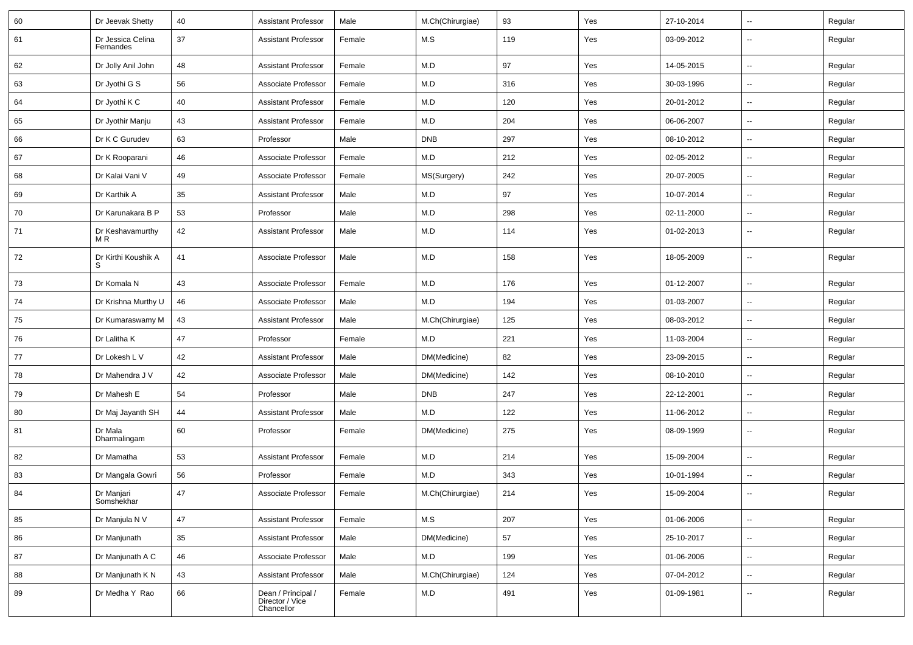| 60 | Dr Jeevak Shetty               | 40 | <b>Assistant Professor</b>                          | Male   | M.Ch(Chirurgiae) | 93  | Yes | 27-10-2014 | $\overline{\phantom{a}}$ | Regular |
|----|--------------------------------|----|-----------------------------------------------------|--------|------------------|-----|-----|------------|--------------------------|---------|
| 61 | Dr Jessica Celina<br>Fernandes | 37 | <b>Assistant Professor</b>                          | Female | M.S              | 119 | Yes | 03-09-2012 | --                       | Regular |
| 62 | Dr Jolly Anil John             | 48 | <b>Assistant Professor</b>                          | Female | M.D              | 97  | Yes | 14-05-2015 | -−                       | Regular |
| 63 | Dr Jyothi G S                  | 56 | Associate Professor                                 | Female | M.D              | 316 | Yes | 30-03-1996 | -−                       | Regular |
| 64 | Dr Jyothi K C                  | 40 | <b>Assistant Professor</b>                          | Female | M.D              | 120 | Yes | 20-01-2012 | --                       | Regular |
| 65 | Dr Jyothir Manju               | 43 | <b>Assistant Professor</b>                          | Female | M.D              | 204 | Yes | 06-06-2007 | -−                       | Regular |
| 66 | Dr K C Gurudev                 | 63 | Professor                                           | Male   | <b>DNB</b>       | 297 | Yes | 08-10-2012 | $\overline{\phantom{a}}$ | Regular |
| 67 | Dr K Rooparani                 | 46 | Associate Professor                                 | Female | M.D              | 212 | Yes | 02-05-2012 | $\overline{\phantom{a}}$ | Regular |
| 68 | Dr Kalai Vani V                | 49 | Associate Professor                                 | Female | MS(Surgery)      | 242 | Yes | 20-07-2005 | -−                       | Regular |
| 69 | Dr Karthik A                   | 35 | <b>Assistant Professor</b>                          | Male   | M.D              | 97  | Yes | 10-07-2014 | -−                       | Regular |
| 70 | Dr Karunakara B P              | 53 | Professor                                           | Male   | M.D              | 298 | Yes | 02-11-2000 | --                       | Regular |
| 71 | Dr Keshavamurthy<br>M R        | 42 | <b>Assistant Professor</b>                          | Male   | M.D              | 114 | Yes | 01-02-2013 | -−                       | Regular |
| 72 | Dr Kirthi Koushik A<br>S.      | 41 | Associate Professor                                 | Male   | M.D              | 158 | Yes | 18-05-2009 | ш,                       | Regular |
| 73 | Dr Komala N                    | 43 | Associate Professor                                 | Female | M.D              | 176 | Yes | 01-12-2007 | --                       | Regular |
| 74 | Dr Krishna Murthy U            | 46 | Associate Professor                                 | Male   | M.D              | 194 | Yes | 01-03-2007 | $\overline{\phantom{a}}$ | Regular |
| 75 | Dr Kumaraswamy M               | 43 | <b>Assistant Professor</b>                          | Male   | M.Ch(Chirurgiae) | 125 | Yes | 08-03-2012 | $\sim$                   | Regular |
| 76 | Dr Lalitha K                   | 47 | Professor                                           | Female | M.D              | 221 | Yes | 11-03-2004 | -−                       | Regular |
| 77 | Dr Lokesh L V                  | 42 | <b>Assistant Professor</b>                          | Male   | DM(Medicine)     | 82  | Yes | 23-09-2015 | ⊷.                       | Regular |
| 78 | Dr Mahendra J V                | 42 | Associate Professor                                 | Male   | DM(Medicine)     | 142 | Yes | 08-10-2010 | --                       | Regular |
| 79 | Dr Mahesh E                    | 54 | Professor                                           | Male   | <b>DNB</b>       | 247 | Yes | 22-12-2001 | --                       | Regular |
| 80 | Dr Maj Jayanth SH              | 44 | <b>Assistant Professor</b>                          | Male   | M.D              | 122 | Yes | 11-06-2012 | Ξ.                       | Regular |
| 81 | Dr Mala<br>Dharmalingam        | 60 | Professor                                           | Female | DM(Medicine)     | 275 | Yes | 08-09-1999 | $\sim$                   | Regular |
| 82 | Dr Mamatha                     | 53 | <b>Assistant Professor</b>                          | Female | M.D              | 214 | Yes | 15-09-2004 | $\sim$                   | Regular |
| 83 | Dr Mangala Gowri               | 56 | Professor                                           | Female | M.D              | 343 | Yes | 10-01-1994 | --                       | Regular |
| 84 | Dr Manjari<br>Somshekhar       | 47 | Associate Professor                                 | Female | M.Ch(Chirurgiae) | 214 | Yes | 15-09-2004 | $\overline{\phantom{a}}$ | Regular |
| 85 | Dr Manjula N V                 | 47 | <b>Assistant Professor</b>                          | Female | M.S              | 207 | Yes | 01-06-2006 | ш.                       | Regular |
| 86 | Dr Manjunath                   | 35 | <b>Assistant Professor</b>                          | Male   | DM(Medicine)     | 57  | Yes | 25-10-2017 | -−                       | Regular |
| 87 | Dr Manjunath A C               | 46 | Associate Professor                                 | Male   | M.D              | 199 | Yes | 01-06-2006 | ш,                       | Regular |
| 88 | Dr Manjunath K N               | 43 | <b>Assistant Professor</b>                          | Male   | M.Ch(Chirurgiae) | 124 | Yes | 07-04-2012 | Ξ.                       | Regular |
| 89 | Dr Medha Y Rao                 | 66 | Dean / Principal /<br>Director / Vice<br>Chancellor | Female | M.D              | 491 | Yes | 01-09-1981 | $\sim$                   | Regular |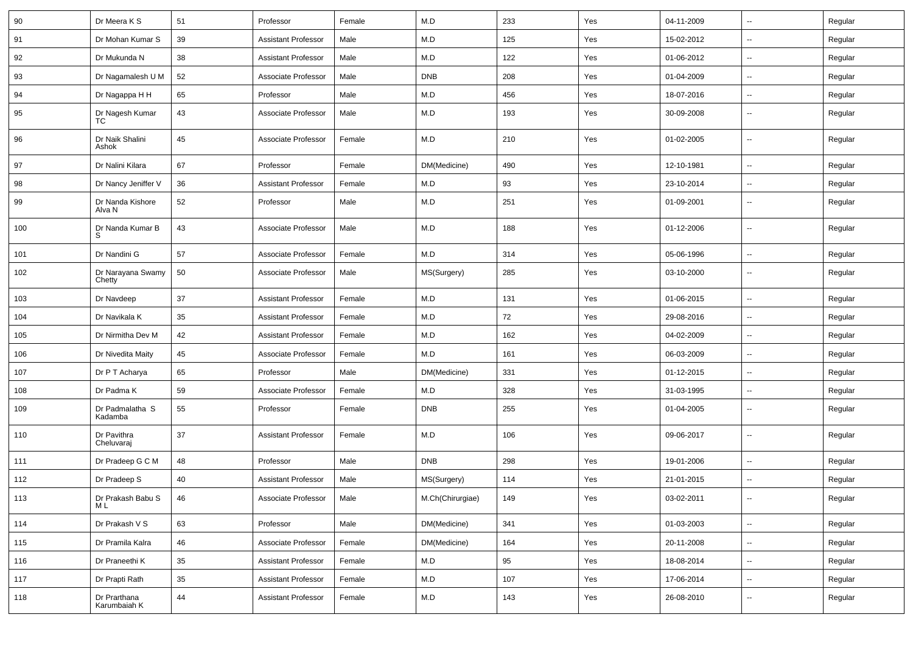| 90  | Dr Meera K S                 | 51       | Professor                  | Female | M.D              | 233 | Yes | 04-11-2009 | $\sim$                   | Regular |
|-----|------------------------------|----------|----------------------------|--------|------------------|-----|-----|------------|--------------------------|---------|
| 91  | Dr Mohan Kumar S             | 39       | <b>Assistant Professor</b> | Male   | M.D              | 125 | Yes | 15-02-2012 | $\overline{\phantom{a}}$ | Regular |
| 92  | Dr Mukunda N                 | 38       | <b>Assistant Professor</b> | Male   | M.D              | 122 | Yes | 01-06-2012 | $\overline{\phantom{a}}$ | Regular |
| 93  | Dr Nagamalesh U M            | 52       | Associate Professor        | Male   | <b>DNB</b>       | 208 | Yes | 01-04-2009 | $\overline{\phantom{a}}$ | Regular |
| 94  | Dr Nagappa H H               | 65       | Professor                  | Male   | M.D              | 456 | Yes | 18-07-2016 | $\sim$                   | Regular |
| 95  | Dr Nagesh Kumar<br>TC.       | 43       | Associate Professor        | Male   | M.D              | 193 | Yes | 30-09-2008 | $\sim$                   | Regular |
| 96  | Dr Naik Shalini<br>Ashok     | 45       | Associate Professor        | Female | M.D              | 210 | Yes | 01-02-2005 | ÷.                       | Regular |
| 97  | Dr Nalini Kilara             | 67       | Professor                  | Female | DM(Medicine)     | 490 | Yes | 12-10-1981 | $\sim$                   | Regular |
| 98  | Dr Nancy Jeniffer V          | 36       | <b>Assistant Professor</b> | Female | M.D              | 93  | Yes | 23-10-2014 | $\sim$                   | Regular |
| 99  | Dr Nanda Kishore<br>Alva N   | 52       | Professor                  | Male   | M.D              | 251 | Yes | 01-09-2001 | $\overline{\phantom{a}}$ | Regular |
| 100 | Dr Nanda Kumar B<br>S        | 43       | Associate Professor        | Male   | M.D              | 188 | Yes | 01-12-2006 | $\sim$                   | Regular |
| 101 | Dr Nandini G                 | 57       | Associate Professor        | Female | M.D              | 314 | Yes | 05-06-1996 | $\sim$                   | Regular |
| 102 | Dr Narayana Swamy<br>Chetty  | 50       | Associate Professor        | Male   | MS(Surgery)      | 285 | Yes | 03-10-2000 | $\overline{\phantom{a}}$ | Regular |
| 103 | Dr Navdeep                   | 37       | <b>Assistant Professor</b> | Female | M.D              | 131 | Yes | 01-06-2015 | ÷.                       | Regular |
| 104 | Dr Navikala K                | 35       | <b>Assistant Professor</b> | Female | M.D              | 72  | Yes | 29-08-2016 | $\sim$                   | Regular |
| 105 | Dr Nirmitha Dev M            | 42       | <b>Assistant Professor</b> | Female | M.D              | 162 | Yes | 04-02-2009 | $\sim$                   | Regular |
| 106 | Dr Nivedita Maity            | 45       | Associate Professor        | Female | M.D              | 161 | Yes | 06-03-2009 | $\sim$                   | Regular |
| 107 | Dr P T Acharya               | 65       | Professor                  | Male   | DM(Medicine)     | 331 | Yes | 01-12-2015 | $\sim$                   | Regular |
| 108 | Dr Padma K                   | 59       | Associate Professor        | Female | M.D              | 328 | Yes | 31-03-1995 | $\sim$                   | Regular |
| 109 | Dr Padmalatha S<br>Kadamba   | 55       | Professor                  | Female | <b>DNB</b>       | 255 | Yes | 01-04-2005 | $\sim$                   | Regular |
| 110 | Dr Pavithra<br>Cheluvaraj    | 37       | <b>Assistant Professor</b> | Female | M.D              | 106 | Yes | 09-06-2017 | $\sim$                   | Regular |
| 111 | Dr Pradeep G C M             | 48       | Professor                  | Male   | <b>DNB</b>       | 298 | Yes | 19-01-2006 | $\sim$                   | Regular |
| 112 | Dr Pradeep S                 | 40       | <b>Assistant Professor</b> | Male   | MS(Surgery)      | 114 | Yes | 21-01-2015 | $\sim$                   | Regular |
| 113 | Dr Prakash Babu S<br>M L     | 46       | Associate Professor        | Male   | M.Ch(Chirurgiae) | 149 | Yes | 03-02-2011 |                          | Regular |
| 114 | Dr Prakash V S               | 63       | Professor                  | Male   | DM(Medicine)     | 341 | Yes | 01-03-2003 | $\bar{\phantom{a}}$      | Regular |
| 115 | Dr Pramila Kalra             | 46       | Associate Professor        | Female | DM(Medicine)     | 164 | Yes | 20-11-2008 | $\sim$                   | Regular |
| 116 | Dr Praneethi K               | 35       | <b>Assistant Professor</b> | Female | M.D              | 95  | Yes | 18-08-2014 | $\sim$                   | Regular |
| 117 | Dr Prapti Rath               | 35       | <b>Assistant Professor</b> | Female | M.D              | 107 | Yes | 17-06-2014 | $\sim$                   | Regular |
| 118 | Dr Prarthana<br>Karumbaiah K | $\bf 44$ | <b>Assistant Professor</b> | Female | M.D              | 143 | Yes | 26-08-2010 | $\sim$                   | Regular |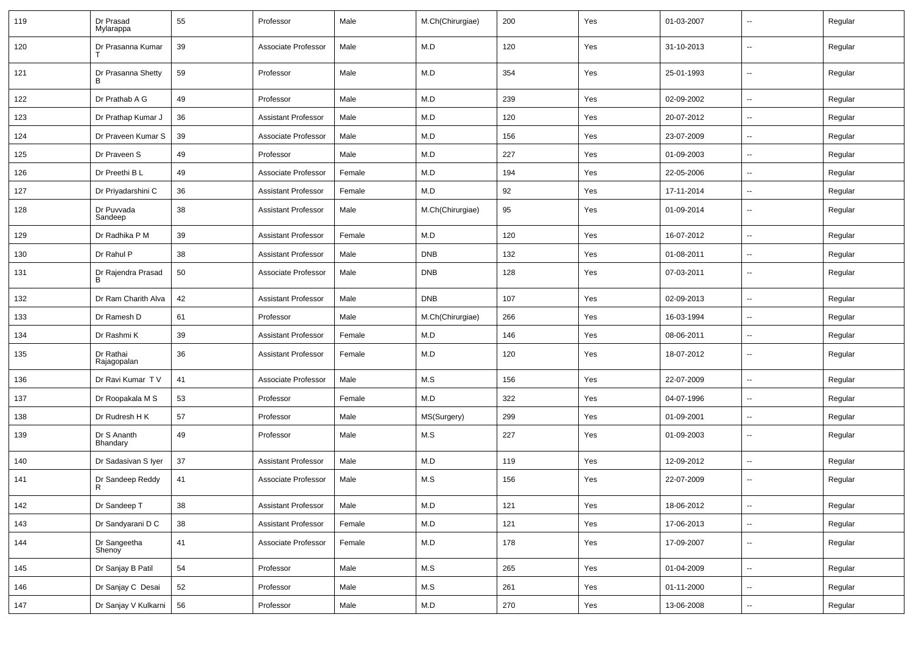| 119 | Dr Prasad<br>Mylarappa               | 55 | Professor                  | Male   | M.Ch(Chirurgiae) | 200 | Yes | 01-03-2007 | --                       | Regular |
|-----|--------------------------------------|----|----------------------------|--------|------------------|-----|-----|------------|--------------------------|---------|
| 120 | Dr Prasanna Kumar                    | 39 | Associate Professor        | Male   | M.D              | 120 | Yes | 31-10-2013 | $\overline{\phantom{a}}$ | Regular |
| 121 | Dr Prasanna Shetty<br>B <sub>1</sub> | 59 | Professor                  | Male   | M.D              | 354 | Yes | 25-01-1993 | ⊷.                       | Regular |
| 122 | Dr Prathab A G                       | 49 | Professor                  | Male   | M.D              | 239 | Yes | 02-09-2002 | ⊷.                       | Regular |
| 123 | Dr Prathap Kumar J                   | 36 | <b>Assistant Professor</b> | Male   | M.D              | 120 | Yes | 20-07-2012 | $\sim$                   | Regular |
| 124 | Dr Praveen Kumar S                   | 39 | Associate Professor        | Male   | M.D              | 156 | Yes | 23-07-2009 | --                       | Regular |
| 125 | Dr Praveen S                         | 49 | Professor                  | Male   | M.D              | 227 | Yes | 01-09-2003 | $\overline{a}$           | Regular |
| 126 | Dr Preethi B L                       | 49 | Associate Professor        | Female | M.D              | 194 | Yes | 22-05-2006 | Ξ.                       | Regular |
| 127 | Dr Priyadarshini C                   | 36 | <b>Assistant Professor</b> | Female | M.D              | 92  | Yes | 17-11-2014 | $\sim$                   | Regular |
| 128 | Dr Puvvada<br>Sandeep                | 38 | <b>Assistant Professor</b> | Male   | M.Ch(Chirurgiae) | 95  | Yes | 01-09-2014 | ⊷.                       | Regular |
| 129 | Dr Radhika P M                       | 39 | <b>Assistant Professor</b> | Female | M.D              | 120 | Yes | 16-07-2012 | ш.                       | Regular |
| 130 | Dr Rahul P                           | 38 | <b>Assistant Professor</b> | Male   | <b>DNB</b>       | 132 | Yes | 01-08-2011 | $\overline{\phantom{a}}$ | Regular |
| 131 | Dr Rajendra Prasad<br><sub>B</sub>   | 50 | Associate Professor        | Male   | <b>DNB</b>       | 128 | Yes | 07-03-2011 | $\overline{\phantom{a}}$ | Regular |
| 132 | Dr Ram Charith Alva                  | 42 | <b>Assistant Professor</b> | Male   | <b>DNB</b>       | 107 | Yes | 02-09-2013 | -−                       | Regular |
| 133 | Dr Ramesh D                          | 61 | Professor                  | Male   | M.Ch(Chirurgiae) | 266 | Yes | 16-03-1994 | -−                       | Regular |
| 134 | Dr Rashmi K                          | 39 | <b>Assistant Professor</b> | Female | M.D              | 146 | Yes | 08-06-2011 | $\sim$                   | Regular |
| 135 | Dr Rathai<br>Rajagopalan             | 36 | <b>Assistant Professor</b> | Female | M.D              | 120 | Yes | 18-07-2012 | н.                       | Regular |
| 136 | Dr Ravi Kumar TV                     | 41 | Associate Professor        | Male   | M.S              | 156 | Yes | 22-07-2009 | Ξ.                       | Regular |
| 137 | Dr Roopakala M S                     | 53 | Professor                  | Female | M.D              | 322 | Yes | 04-07-1996 | ⊷.                       | Regular |
| 138 | Dr Rudresh H K                       | 57 | Professor                  | Male   | MS(Surgery)      | 299 | Yes | 01-09-2001 | $\sim$                   | Regular |
| 139 | Dr S Ananth<br>Bhandary              | 49 | Professor                  | Male   | M.S              | 227 | Yes | 01-09-2003 | $\overline{\phantom{a}}$ | Regular |
| 140 | Dr Sadasivan S Iver                  | 37 | <b>Assistant Professor</b> | Male   | M.D              | 119 | Yes | 12-09-2012 | -−                       | Regular |
| 141 | Dr Sandeep Reddy<br>R                | 41 | Associate Professor        | Male   | M.S              | 156 | Yes | 22-07-2009 | --                       | Regular |
| 142 | Dr Sandeep T                         | 38 | <b>Assistant Professor</b> | Male   | M.D              | 121 | Yes | 18-06-2012 | $\overline{\phantom{a}}$ | Regular |
| 143 | Dr Sandyarani D C                    | 38 | <b>Assistant Professor</b> | Female | M.D              | 121 | Yes | 17-06-2013 | $\overline{\phantom{a}}$ | Regular |
| 144 | Dr Sangeetha<br>Shenoy               | 41 | Associate Professor        | Female | M.D              | 178 | Yes | 17-09-2007 | $\overline{\phantom{a}}$ | Regular |
| 145 | Dr Sanjay B Patil                    | 54 | Professor                  | Male   | M.S              | 265 | Yes | 01-04-2009 | ш.                       | Regular |
| 146 | Dr Sanjay C Desai                    | 52 | Professor                  | Male   | M.S              | 261 | Yes | 01-11-2000 | $\sim$                   | Regular |
| 147 | Dr Sanjay V Kulkarni   56            |    | Professor                  | Male   | M.D              | 270 | Yes | 13-06-2008 | $\overline{\phantom{a}}$ | Regular |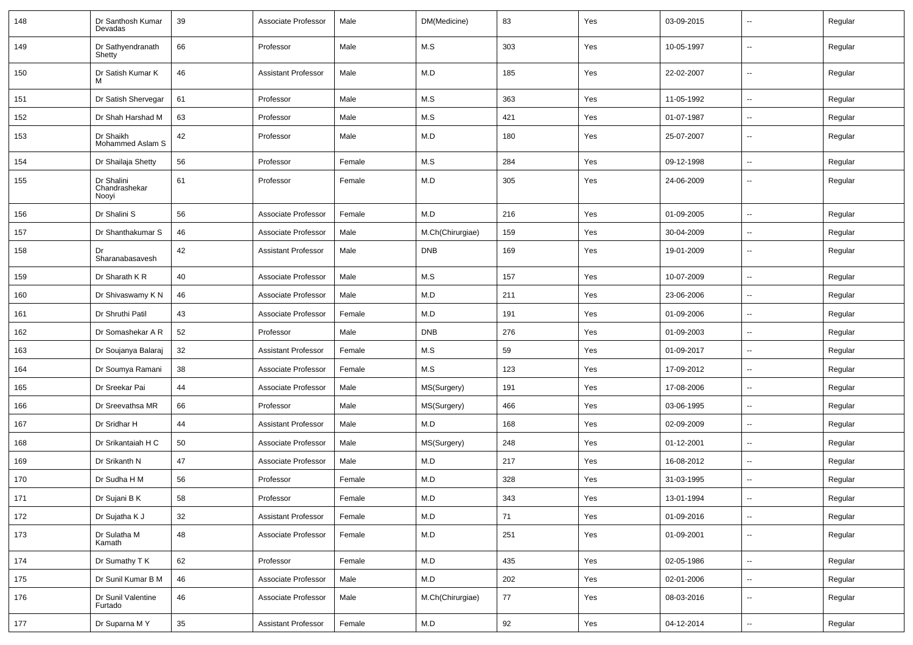| 148 | Dr Santhosh Kumar<br>Devadas         | 39 | Associate Professor        | Male   | DM(Medicine)     | 83  | Yes | 03-09-2015 | $\overline{\phantom{a}}$ | Regular |
|-----|--------------------------------------|----|----------------------------|--------|------------------|-----|-----|------------|--------------------------|---------|
| 149 | Dr Sathyendranath<br>Shetty          | 66 | Professor                  | Male   | M.S              | 303 | Yes | 10-05-1997 | $\sim$                   | Regular |
| 150 | Dr Satish Kumar K                    | 46 | <b>Assistant Professor</b> | Male   | M.D              | 185 | Yes | 22-02-2007 | $\sim$                   | Regular |
| 151 | Dr Satish Shervegar                  | 61 | Professor                  | Male   | M.S              | 363 | Yes | 11-05-1992 | $\sim$                   | Regular |
| 152 | Dr Shah Harshad M                    | 63 | Professor                  | Male   | M.S              | 421 | Yes | 01-07-1987 | $\overline{\phantom{a}}$ | Regular |
| 153 | Dr Shaikh<br>Mohammed Aslam S        | 42 | Professor                  | Male   | M.D              | 180 | Yes | 25-07-2007 | $\overline{\phantom{a}}$ | Regular |
| 154 | Dr Shailaja Shetty                   | 56 | Professor                  | Female | M.S              | 284 | Yes | 09-12-1998 | $\mathbf{u}$             | Regular |
| 155 | Dr Shalini<br>Chandrashekar<br>Nooyi | 61 | Professor                  | Female | M.D              | 305 | Yes | 24-06-2009 | $\overline{\phantom{a}}$ | Regular |
| 156 | Dr Shalini S                         | 56 | Associate Professor        | Female | M.D              | 216 | Yes | 01-09-2005 | $\overline{\phantom{a}}$ | Regular |
| 157 | Dr Shanthakumar S                    | 46 | Associate Professor        | Male   | M.Ch(Chirurgiae) | 159 | Yes | 30-04-2009 | $\overline{\phantom{a}}$ | Regular |
| 158 | Dr<br>Sharanabasavesh                | 42 | <b>Assistant Professor</b> | Male   | <b>DNB</b>       | 169 | Yes | 19-01-2009 |                          | Regular |
| 159 | Dr Sharath K R                       | 40 | Associate Professor        | Male   | M.S              | 157 | Yes | 10-07-2009 | $\mathbf{u}$             | Regular |
| 160 | Dr Shivaswamy K N                    | 46 | Associate Professor        | Male   | M.D              | 211 | Yes | 23-06-2006 | $\sim$                   | Regular |
| 161 | Dr Shruthi Patil                     | 43 | Associate Professor        | Female | M.D              | 191 | Yes | 01-09-2006 | $\sim$                   | Regular |
| 162 | Dr Somashekar A R                    | 52 | Professor                  | Male   | <b>DNB</b>       | 276 | Yes | 01-09-2003 |                          | Regular |
| 163 | Dr Soujanya Balaraj                  | 32 | <b>Assistant Professor</b> | Female | M.S              | 59  | Yes | 01-09-2017 | $\overline{\phantom{a}}$ | Regular |
| 164 | Dr Soumya Ramani                     | 38 | Associate Professor        | Female | M.S              | 123 | Yes | 17-09-2012 |                          | Regular |
| 165 | Dr Sreekar Pai                       | 44 | Associate Professor        | Male   | MS(Surgery)      | 191 | Yes | 17-08-2006 | $\overline{\phantom{a}}$ | Regular |
| 166 | Dr Sreevathsa MR                     | 66 | Professor                  | Male   | MS(Surgery)      | 466 | Yes | 03-06-1995 | $\sim$                   | Regular |
| 167 | Dr Sridhar H                         | 44 | <b>Assistant Professor</b> | Male   | M.D              | 168 | Yes | 02-09-2009 | $\sim$                   | Regular |
| 168 | Dr Srikantaiah H C                   | 50 | Associate Professor        | Male   | MS(Surgery)      | 248 | Yes | 01-12-2001 | $\overline{\phantom{a}}$ | Regular |
| 169 | Dr Srikanth N                        | 47 | Associate Professor        | Male   | M.D              | 217 | Yes | 16-08-2012 |                          | Regular |
| 170 | Dr Sudha H M                         | 56 | Professor                  | Female | M.D              | 328 | Yes | 31-03-1995 | $\mathbf{u}$             | Regular |
| 171 | Dr Sujani B K                        | 58 | Professor                  | Female | M.D              | 343 | Yes | 13-01-1994 |                          | Regular |
| 172 | Dr Sujatha K J                       | 32 | Assistant Professor        | Female | M.D              | 71  | Yes | 01-09-2016 | $\sim$                   | Regular |
| 173 | Dr Sulatha M<br>Kamath               | 48 | Associate Professor        | Female | M.D              | 251 | Yes | 01-09-2001 | $\sim$                   | Regular |
| 174 | Dr Sumathy T K                       | 62 | Professor                  | Female | M.D              | 435 | Yes | 02-05-1986 | $\sim$                   | Regular |
| 175 | Dr Sunil Kumar B M                   | 46 | Associate Professor        | Male   | M.D              | 202 | Yes | 02-01-2006 | $\sim$                   | Regular |
| 176 | Dr Sunil Valentine<br>Furtado        | 46 | Associate Professor        | Male   | M.Ch(Chirurgiae) | 77  | Yes | 08-03-2016 | $\sim$                   | Regular |
| 177 | Dr Suparna MY                        | 35 | <b>Assistant Professor</b> | Female | M.D              | 92  | Yes | 04-12-2014 | $\sim$                   | Regular |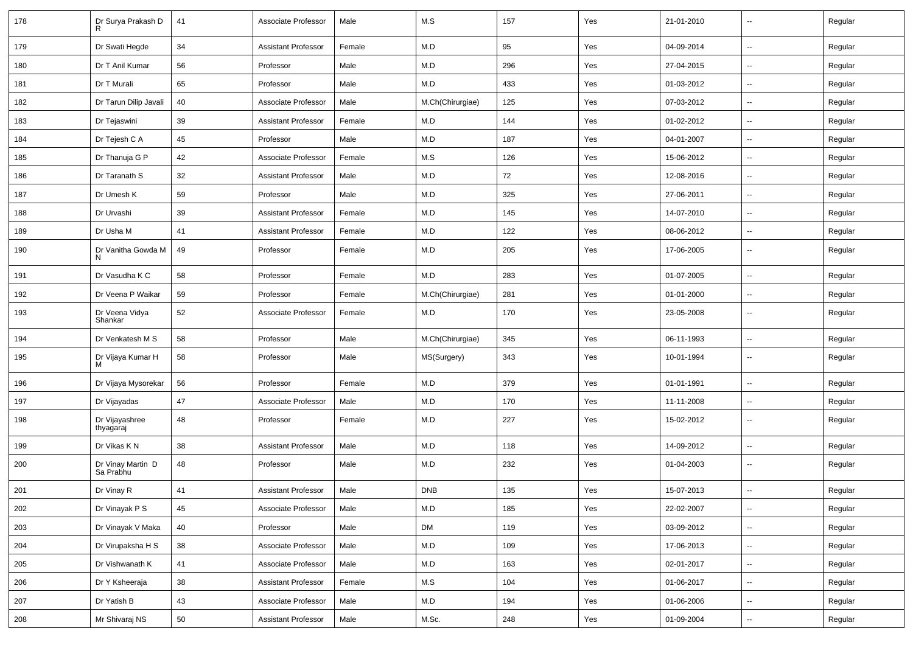| 178 | Dr Surya Prakash D             | 41     | Associate Professor        | Male   | M.S              | 157 | Yes | 21-01-2010 | --                       | Regular |
|-----|--------------------------------|--------|----------------------------|--------|------------------|-----|-----|------------|--------------------------|---------|
| 179 | Dr Swati Hegde                 | 34     | <b>Assistant Professor</b> | Female | M.D              | 95  | Yes | 04-09-2014 | $\sim$                   | Regular |
| 180 | Dr T Anil Kumar                | 56     | Professor                  | Male   | M.D              | 296 | Yes | 27-04-2015 | --                       | Regular |
| 181 | Dr T Murali                    | 65     | Professor                  | Male   | M.D              | 433 | Yes | 01-03-2012 | --                       | Regular |
| 182 | Dr Tarun Dilip Javali          | 40     | Associate Professor        | Male   | M.Ch(Chirurgiae) | 125 | Yes | 07-03-2012 | $\overline{a}$           | Regular |
| 183 | Dr Tejaswini                   | 39     | <b>Assistant Professor</b> | Female | M.D              | 144 | Yes | 01-02-2012 | $\overline{a}$           | Regular |
| 184 | Dr Tejesh C A                  | 45     | Professor                  | Male   | M.D              | 187 | Yes | 04-01-2007 | $\sim$                   | Regular |
| 185 | Dr Thanuja G P                 | 42     | Associate Professor        | Female | M.S              | 126 | Yes | 15-06-2012 | $\sim$                   | Regular |
| 186 | Dr Taranath S                  | 32     | <b>Assistant Professor</b> | Male   | M.D              | 72  | Yes | 12-08-2016 | --                       | Regular |
| 187 | Dr Umesh K                     | 59     | Professor                  | Male   | M.D              | 325 | Yes | 27-06-2011 | $\sim$                   | Regular |
| 188 | Dr Urvashi                     | 39     | <b>Assistant Professor</b> | Female | M.D              | 145 | Yes | 14-07-2010 | $\sim$                   | Regular |
| 189 | Dr Usha M                      | 41     | <b>Assistant Professor</b> | Female | M.D              | 122 | Yes | 08-06-2012 | Ξ.                       | Regular |
| 190 | Dr Vanitha Gowda M<br>N        | 49     | Professor                  | Female | M.D              | 205 | Yes | 17-06-2005 | $\sim$                   | Regular |
| 191 | Dr Vasudha K C                 | 58     | Professor                  | Female | M.D              | 283 | Yes | 01-07-2005 | $\ddot{\phantom{a}}$     | Regular |
| 192 | Dr Veena P Waikar              | 59     | Professor                  | Female | M.Ch(Chirurgiae) | 281 | Yes | 01-01-2000 | $\overline{\phantom{a}}$ | Regular |
| 193 | Dr Veena Vidya<br>Shankar      | 52     | Associate Professor        | Female | M.D              | 170 | Yes | 23-05-2008 | --                       | Regular |
| 194 | Dr Venkatesh M S               | 58     | Professor                  | Male   | M.Ch(Chirurgiae) | 345 | Yes | 06-11-1993 | Ξ.                       | Regular |
| 195 | Dr Vijaya Kumar H<br>м         | 58     | Professor                  | Male   | MS(Surgery)      | 343 | Yes | 10-01-1994 | --                       | Regular |
| 196 | Dr Vijaya Mysorekar            | 56     | Professor                  | Female | M.D              | 379 | Yes | 01-01-1991 | Ξ.                       | Regular |
| 197 | Dr Vijayadas                   | 47     | Associate Professor        | Male   | M.D              | 170 | Yes | 11-11-2008 | $\sim$                   | Regular |
| 198 | Dr Vijayashree<br>thyagaraj    | 48     | Professor                  | Female | M.D              | 227 | Yes | 15-02-2012 |                          | Regular |
| 199 | Dr Vikas KN                    | 38     | <b>Assistant Professor</b> | Male   | M.D              | 118 | Yes | 14-09-2012 | --                       | Regular |
| 200 | Dr Vinay Martin D<br>Sa Prabhu | 48     | Professor                  | Male   | M.D              | 232 | Yes | 01-04-2003 | $\sim$                   | Regular |
| 201 | Dr Vinay R                     | 41     | <b>Assistant Professor</b> | Male   | <b>DNB</b>       | 135 | Yes | 15-07-2013 |                          | Regular |
| 202 | Dr Vinayak P S                 | 45     | Associate Professor        | Male   | ${\sf M.D}$      | 185 | Yes | 22-02-2007 | $\sim$                   | Regular |
| 203 | Dr Vinayak V Maka              | 40     | Professor                  | Male   | <b>DM</b>        | 119 | Yes | 03-09-2012 | --                       | Regular |
| 204 | Dr Virupaksha H S              | $38\,$ | Associate Professor        | Male   | M.D              | 109 | Yes | 17-06-2013 | Ξ.                       | Regular |
| 205 | Dr Vishwanath K                | 41     | Associate Professor        | Male   | M.D              | 163 | Yes | 02-01-2017 | $\overline{\phantom{a}}$ | Regular |
| 206 | Dr Y Ksheeraja                 | 38     | <b>Assistant Professor</b> | Female | M.S              | 104 | Yes | 01-06-2017 | $\sim$                   | Regular |
| 207 | Dr Yatish B                    | 43     | Associate Professor        | Male   | M.D              | 194 | Yes | 01-06-2006 | $\overline{\phantom{a}}$ | Regular |
| 208 | Mr Shivaraj NS                 | 50     | <b>Assistant Professor</b> | Male   | M.Sc.            | 248 | Yes | 01-09-2004 | $\sim$                   | Regular |